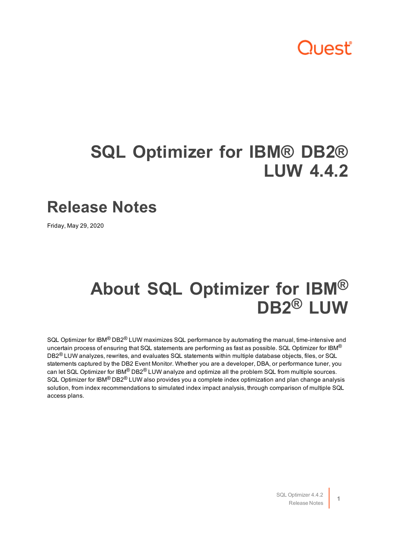## Quest

## **SQL Optimizer for IBM® DB2® LUW 4.4.2**

#### **Release Notes**

Friday, May 29, 2020

### **About SQL Optimizer for IBM® DB2® LUW**

SQL Optimizer for IBM<sup>®</sup> DB2<sup>®</sup> LUW maximizes SQL performance by automating the manual, time-intensive and uncertain process of ensuring that SQL statements are performing as fast as possible. SQL Optimizer for IBM<sup>®</sup> DB2<sup>®</sup> LUW analyzes, rewrites, and evaluates SQL statements within multiple database objects, files, or SQL statements captured by the DB2 Event Monitor. Whether you are a developer, DBA, or performance tuner, you can let SQL Optimizer for IBM® DB2® LUW analyze and optimize all the problem SQL from multiple sources. SQL Optimizer for IBM<sup>®</sup> DB2<sup>®</sup> LUW also provides you a complete index optimization and plan change analysis solution, from index recommendations to simulated index impact analysis, through comparison of multiple SQL access plans.

> SQL Optimizer 4.4.2 Release Notes

**1**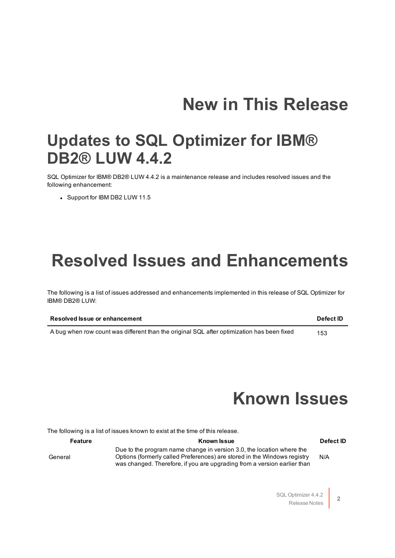## **New in This Release**

#### **Updates to SQL Optimizer for IBM® DB2® LUW 4.4.2**

SQL Optimizer for IBM® DB2® LUW 4.4.2 is a maintenance release and includes resolved issues and the following enhancement:

• Support for IBM DB2 LUW 11.5

### **Resolved Issues and Enhancements**

The following is a list of issues addressed and enhancements implemented in this release of SQL Optimizer for IBM® DB2® LUW:

| <b>Resolved Issue or enhancement</b>                                                       | <b>Defect ID</b> |
|--------------------------------------------------------------------------------------------|------------------|
| A bug when row count was different than the original SQL after optimization has been fixed | 153              |

### **Known Issues**

The following is a list of issues known to exist at the time of this release.

#### **Feature Known Issue Defect ID**

General

Due to the program name change in version 3.0, the location where the Options (formerly called Preferences) are stored in the Windows registry was changed. Therefore, if you are upgrading from a version earlier than

N/A

SQL Optimizer 4.4.2 Release Notes

**2**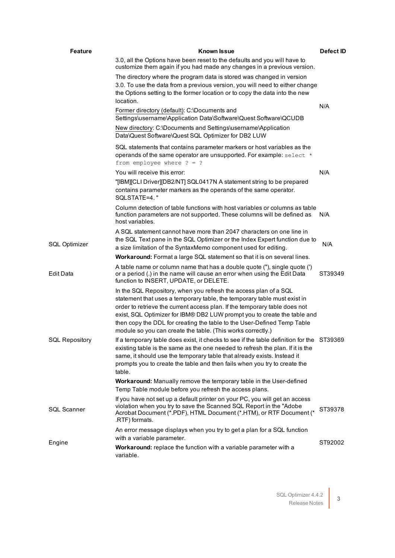| <b>Feature</b>        | Known Issue                                                                                                                                                                                                                                                                                                                                                                                                                                      | Defect ID |
|-----------------------|--------------------------------------------------------------------------------------------------------------------------------------------------------------------------------------------------------------------------------------------------------------------------------------------------------------------------------------------------------------------------------------------------------------------------------------------------|-----------|
|                       | 3.0, all the Options have been reset to the defaults and you will have to<br>customize them again if you had made any changes in a previous version.                                                                                                                                                                                                                                                                                             |           |
|                       | The directory where the program data is stored was changed in version<br>3.0. To use the data from a previous version, you will need to either change<br>the Options setting to the former location or to copy the data into the new<br>location.                                                                                                                                                                                                |           |
|                       | Former directory (default): C:\Documents and<br>Settings\username\Application Data\Software\Quest Software\QCUDB                                                                                                                                                                                                                                                                                                                                 | N/A       |
|                       | New directory: C:\Documents and Settings\username\Application<br>Data\Quest Software\Quest SQL Optimizer for DB2 LUW                                                                                                                                                                                                                                                                                                                             |           |
|                       | SQL statements that contains parameter markers or host variables as the<br>operands of the same operator are unsupported. For example: select *<br>from employee where $? = ?$                                                                                                                                                                                                                                                                   |           |
|                       | You will receive this error:                                                                                                                                                                                                                                                                                                                                                                                                                     | N/A       |
|                       | "[IBM][CLI Driver][DB2/NT] SQL0417N A statement string to be prepared<br>contains parameter markers as the operands of the same operator.<br>SOLSTATE=4."                                                                                                                                                                                                                                                                                        |           |
|                       | Column detection of table functions with host variables or columns as table<br>function parameters are not supported. These columns will be defined as<br>host variables.                                                                                                                                                                                                                                                                        | N/A       |
| <b>SQL Optimizer</b>  | A SQL statement cannot have more than 2047 characters on one line in<br>the SQL Text pane in the SQL Optimizer or the Index Expert function due to<br>a size limitation of the SyntaxMemo component used for editing.                                                                                                                                                                                                                            | N/A       |
|                       | Workaround: Format a large SQL statement so that it is on several lines.                                                                                                                                                                                                                                                                                                                                                                         |           |
| Edit Data             | A table name or column name that has a double quote ("), single quote (')<br>or a period (.) in the name will cause an error when using the Edit Data<br>function to INSERT, UPDATE, or DELETE.                                                                                                                                                                                                                                                  | ST39349   |
|                       | In the SQL Repository, when you refresh the access plan of a SQL<br>statement that uses a temporary table, the temporary table must exist in<br>order to retrieve the current access plan. If the temporary table does not<br>exist, SQL Optimizer for IBM® DB2 LUW prompt you to create the table and<br>then copy the DDL for creating the table to the User-Defined Temp Table<br>module so you can create the table. (This works correctly.) |           |
| <b>SQL Repository</b> | If a temporary table does exist, it checks to see if the table definition for the ST39369<br>existing table is the same as the one needed to refresh the plan. If it is the<br>same, it should use the temporary table that already exists. Instead it<br>prompts you to create the table and then fails when you try to create the<br>table.                                                                                                    |           |
|                       | Workaround: Manually remove the temporary table in the User-defined<br>Temp Table module before you refresh the access plans.                                                                                                                                                                                                                                                                                                                    |           |
| <b>SQL Scanner</b>    | If you have not set up a default printer on your PC, you will get an access<br>violation when you try to save the Scanned SQL Report in the "Adobe<br>Acrobat Document (*.PDF), HTML Document (*.HTM), or RTF Document (*<br>.RTF) formats.                                                                                                                                                                                                      | ST39378   |
| Engine                | An error message displays when you try to get a plan for a SQL function<br>with a variable parameter.                                                                                                                                                                                                                                                                                                                                            |           |
|                       | Workaround: replace the function with a variable parameter with a<br>variable.                                                                                                                                                                                                                                                                                                                                                                   | ST92002   |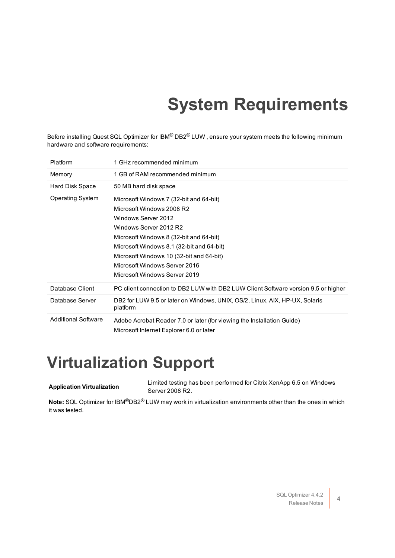# **System Requirements**

Before installing Quest SQL Optimizer for IBM<sup>®</sup> DB2<sup>®</sup> LUW, ensure your system meets the following minimum hardware and software requirements:

| Platform                   | 1 GHz recommended minimum                                                                                                                                                                                                                                                                                                   |
|----------------------------|-----------------------------------------------------------------------------------------------------------------------------------------------------------------------------------------------------------------------------------------------------------------------------------------------------------------------------|
| Memory                     | 1 GB of RAM recommended minimum                                                                                                                                                                                                                                                                                             |
| Hard Disk Space            | 50 MB hard disk space                                                                                                                                                                                                                                                                                                       |
| Operating System           | Microsoft Windows 7 (32-bit and 64-bit)<br>Microsoft Windows 2008 R2<br>Windows Server 2012<br>Windows Server 2012 R2<br>Microsoft Windows 8 (32-bit and 64-bit)<br>Microsoft Windows 8.1 (32-bit and 64-bit)<br>Microsoft Windows 10 (32-bit and 64-bit)<br>Microsoft Windows Server 2016<br>Microsoft Windows Server 2019 |
| Database Client            | PC client connection to DB2 LUW with DB2 LUW Client Software version 9.5 or higher                                                                                                                                                                                                                                          |
| Database Server            | DB2 for LUW 9.5 or later on Windows, UNIX, OS/2, Linux, AIX, HP-UX, Solaris<br>platform                                                                                                                                                                                                                                     |
| <b>Additional Software</b> | Adobe Acrobat Reader 7.0 or later (for viewing the Installation Guide)<br>Microsoft Internet Explorer 6.0 or later                                                                                                                                                                                                          |

#### **Virtualization Support**

**Application Virtualization** Limited testing has been performed for Citrix XenApp 6.5 on Windows Server 2008 R2.

**Note:** SQL Optimizer for IBM®DB2® LUW may work in virtualization environments other than the ones in which it was tested.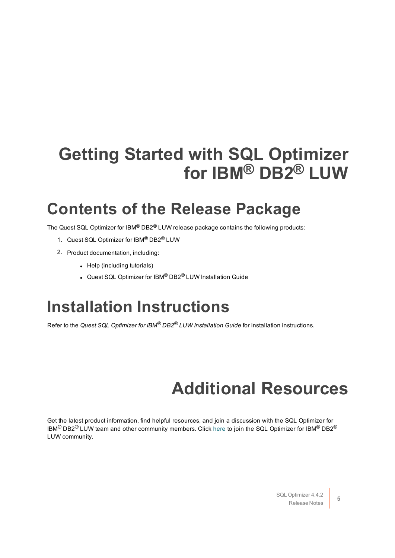## **Getting Started with SQL Optimizer for IBM® DB2® LUW**

#### **Contents of the Release Package**

The Quest SQL Optimizer for IBM® DB2® LUW release package contains the following products:

- 1. Quest SQL Optimizer for IBM® DB2® LUW
- 2. Product documentation, including:
	- $\bullet$  Help (including tutorials)
	- Quest SQL Optimizer for IBM® DB2® LUW Installation Guide

#### **Installation Instructions**

Refer to the *Quest SQL Optimizer for IBM® DB2® LUW Installation Guide* for installation instructions.

## **Additional Resources**

Get the latest product information, find helpful resources, and join a discussion with the SQL Optimizer for IBM<sup>®</sup> DB2<sup>®</sup> LUW team and other community members. Click [here](http://www.toadworld.com/products/toad-for-ibm-db2/default.aspx) to join the SQL Optimizer for IBM<sup>®</sup> DB2<sup>®</sup> LUW community.

> SQL Optimizer 4.4.2 Release Notes **5**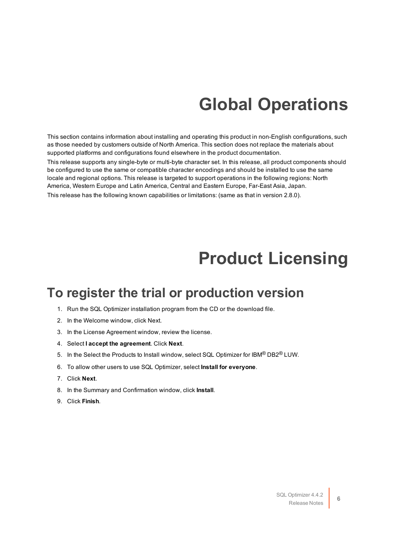## **Global Operations**

This section contains information about installing and operating this product in non-English configurations, such as those needed by customers outside of North America. This section does not replace the materials about supported platforms and configurations found elsewhere in the product documentation.

This release supports any single-byte or multi-byte character set. In this release, all product components should be configured to use the same or compatible character encodings and should be installed to use the same locale and regional options. This release is targeted to support operations in the following regions: North America, Western Europe and Latin America, Central and Eastern Europe, Far-East Asia, Japan.

This release has the following known capabilities or limitations: (same as that in version 2.8.0).

### **Product Licensing**

#### **To register the trial or production version**

- 1. Run the SQL Optimizer installation program from the CD or the download file.
- 2. In the Welcome window, click Next.
- 3. In the License Agreement window, review the license.
- 4. Select **I accept the agreement**. Click **Next**.
- 5. In the Select the Products to Install window, select SQL Optimizer for IBM® DB2® LUW.
- 6. To allow other users to use SQL Optimizer, select **Install for everyone**.
- 7. Click **Next**.
- 8. In the Summary and Confirmation window, click **Install**.
- 9. Click **Finish**.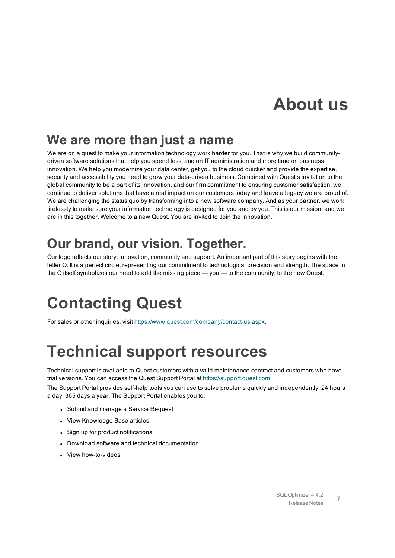### **About us**

#### **We are more than just a name**

We are on a quest to make your information technology work harder for you. That is why we build communitydriven software solutions that help you spend less time on IT administration and more time on business innovation. We help you modernize your data center, get you to the cloud quicker and provide the expertise, security and accessibility you need to grow your data-driven business. Combined with Quest's invitation to the global community to be a part of its innovation, and our firm commitment to ensuring customer satisfaction, we continue to deliver solutions that have a real impact on our customers today and leave a legacy we are proud of. We are challenging the status quo by transforming into a new software company. And as your partner, we work tirelessly to make sure your information technology is designed for you and by you. This is our mission, and we are in this together. Welcome to a new Quest. You are invited to Join the Innovation.

#### **Our brand, our vision. Together.**

Our logo reflects our story: innovation, community and support. An important part of this story begins with the letter Q. It is a perfect circle, representing our commitment to technological precision and strength. The space in the Q itself symbolizes our need to add the missing piece — you — to the community, to the new Quest.

## **Contacting Quest**

For sales or other inquiries, visit <https://www.quest.com/company/contact-us.aspx>.

## **Technical support resources**

Technical support is available to Quest customers with a valid maintenance contract and customers who have trial versions. You can access the Quest Support Portal at [https://support.quest.com](https://support.quest.com/).

The Support Portal provides self-help tools you can use to solve problems quickly and independently, 24 hours a day, 365 days a year. The Support Portal enables you to:

- Submit and manage a Service Request
- View Knowledge Base articles
- Sign up for product notifications
- Download software and technical documentation
- <sup>l</sup> View how-to-videos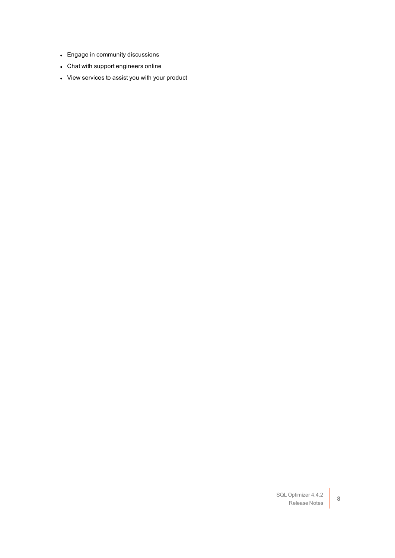- Engage in community discussions
- Chat with support engineers online
- View services to assist you with your product